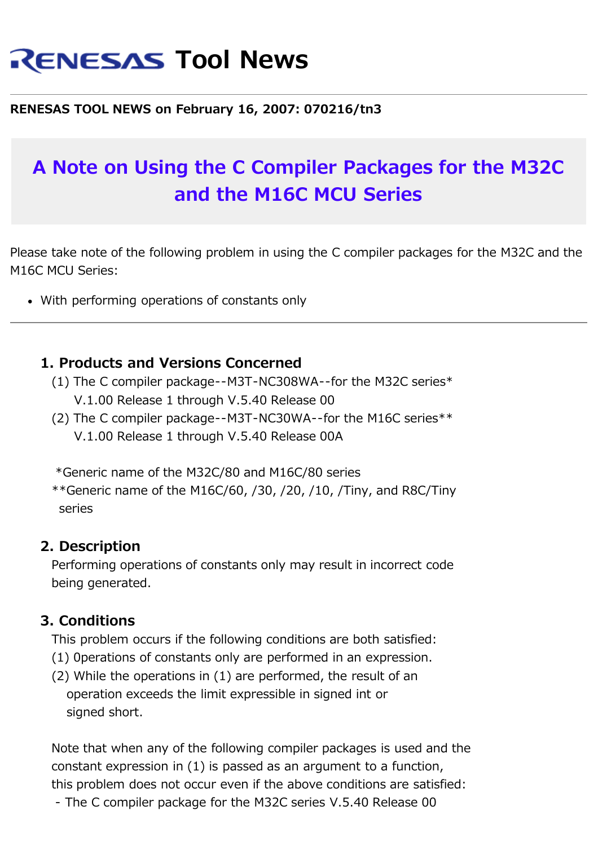# **RENESAS Tool News**

#### **RENESAS TOOL NEWS on February 16, 2007: 070216/tn3**

## **A Note on Using the C Compiler Packages for the M32C and the M16C MCU Series**

Please take note of the following problem in using the C compiler packages for the M32C and the M16C MCU Series:

With performing operations of constants only

#### **1. Products and Versions Concerned**

- (1) The C compiler package--M3T-NC308WA--for the M32C series\* V.1.00 Release 1 through V.5.40 Release 00
- (2) The C compiler package--M3T-NC30WA--for the M16C series\*\* V.1.00 Release 1 through V.5.40 Release 00A

\*Generic name of the M32C/80 and M16C/80 series

 $*$ <sup>\*</sup>Generic name of the M16C/60, /30, /20, /10, /Tiny, and R8C/Tiny series

#### **2. Description**

 Performing operations of constants only may result in incorrect code being generated.

#### **3. Conditions**

This problem occurs if the following conditions are both satisfied:

- (1) 0perations of constants only are performed in an expression.
- (2) While the operations in (1) are performed, the result of an operation exceeds the limit expressible in signed int or signed short.

 Note that when any of the following compiler packages is used and the constant expression in (1) is passed as an argument to a function, this problem does not occur even if the above conditions are satisfied:

- The C compiler package for the M32C series V.5.40 Release 00